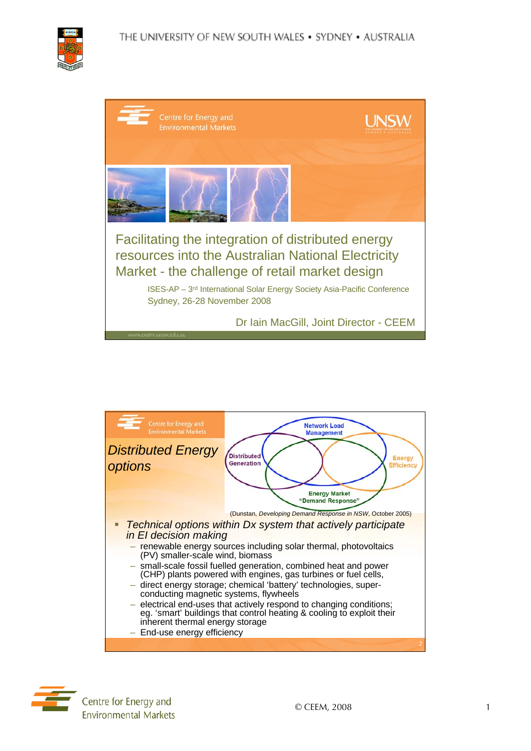

| Centre for Energy and<br><b>Environmental Markets</b>                                                                                                                                                                                                                             |  |  |
|-----------------------------------------------------------------------------------------------------------------------------------------------------------------------------------------------------------------------------------------------------------------------------------|--|--|
|                                                                                                                                                                                                                                                                                   |  |  |
| Facilitating the integration of distributed energy<br>resources into the Australian National Electricity<br>Market - the challenge of retail market design<br>ISES-AP - 3 <sup>rd</sup> International Solar Energy Society Asia-Pacific Conference<br>Sydney, 26-28 November 2008 |  |  |
| Dr Iain MacGill, Joint Director - CEEM<br>www.ceem.unsw.edu.au                                                                                                                                                                                                                    |  |  |

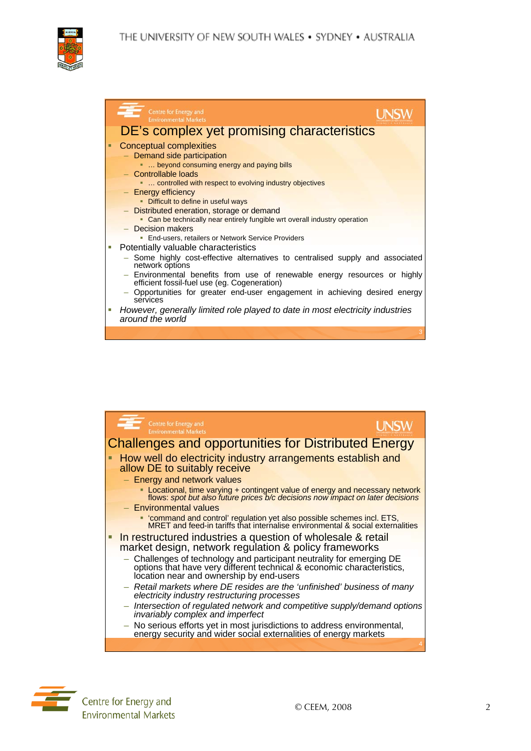THE UNIVERSITY OF NEW SOUTH WALES . SYDNEY . AUSTRALIA



|   | Centre for Energy and<br><b>Environmental Markets</b>                                                                                                                                                                                                                                                     |  |
|---|-----------------------------------------------------------------------------------------------------------------------------------------------------------------------------------------------------------------------------------------------------------------------------------------------------------|--|
|   | DE's complex yet promising characteristics                                                                                                                                                                                                                                                                |  |
| Ξ | <b>Conceptual complexities</b><br>- Demand side participation<br>beyond consuming energy and paying bills<br>- Controllable loads<br>controlled with respect to evolving industry objectives<br>- Energy efficiency<br>• Difficult to define in useful ways<br>- Distributed eneration, storage or demand |  |
|   | • Can be technically near entirely fungible wrt overall industry operation<br>$-$ Decision makers                                                                                                                                                                                                         |  |
|   | • End-users, retailers or Network Service Providers                                                                                                                                                                                                                                                       |  |
|   | Potentially valuable characteristics<br>- Some highly cost-effective alternatives to centralised supply and associated<br>network options                                                                                                                                                                 |  |
|   | Environmental benefits from use of renewable energy resources or highly<br>efficient fossil-fuel use (eg. Cogeneration)                                                                                                                                                                                   |  |
|   | - Opportunities for greater end-user engagement in achieving desired energy<br>services                                                                                                                                                                                                                   |  |
| × | However, generally limited role played to date in most electricity industries<br>around the world                                                                                                                                                                                                         |  |
|   |                                                                                                                                                                                                                                                                                                           |  |



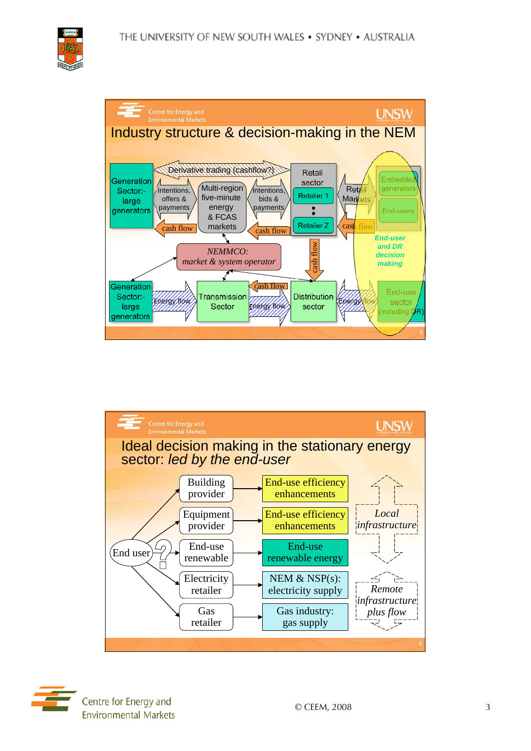





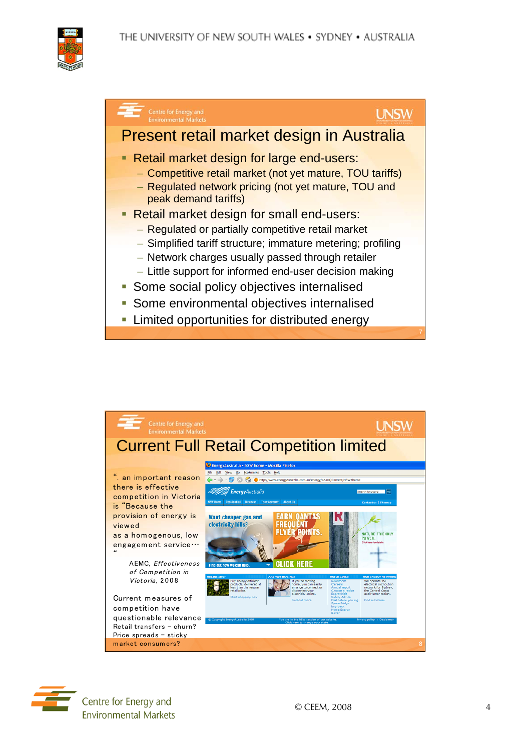





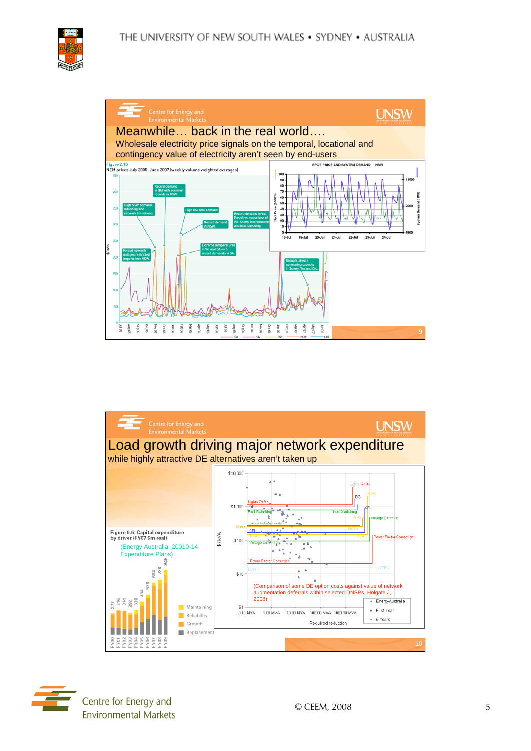





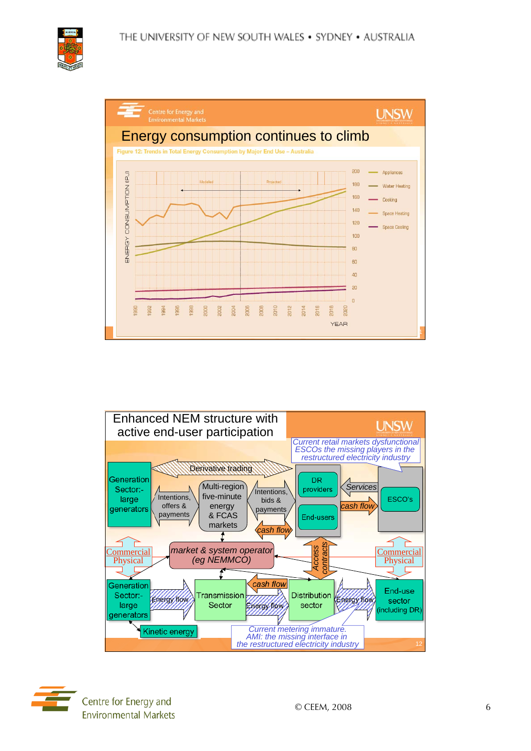





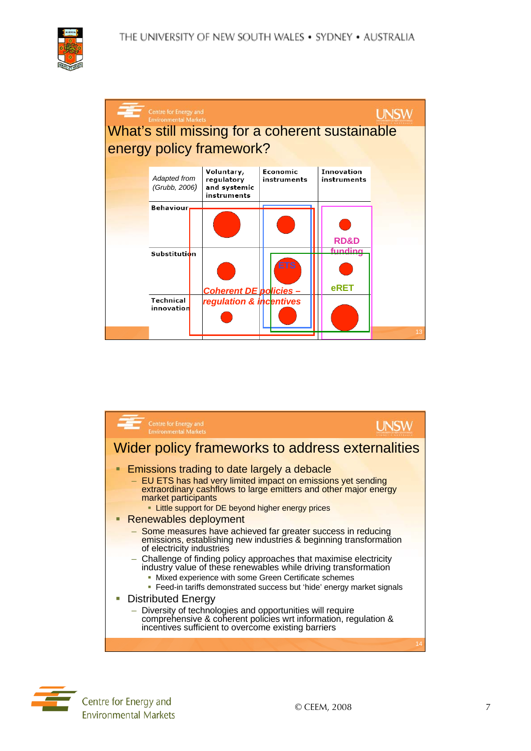







Centre for Energy and **Environmental Markets**